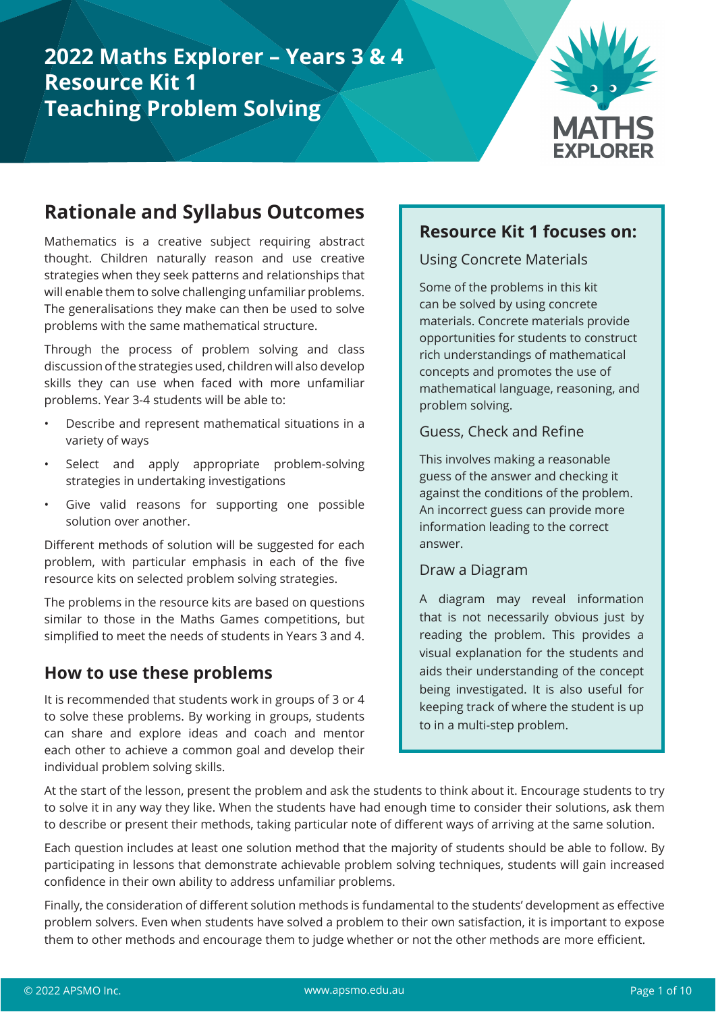# **2022 Maths Explorer – Years 3 & 4 Resource Kit 1 Teaching Problem Solving**



# **Rationale and Syllabus Outcomes**

Mathematics is a creative subject requiring abstract thought. Children naturally reason and use creative strategies when they seek patterns and relationships that will enable them to solve challenging unfamiliar problems. The generalisations they make can then be used to solve problems with the same mathematical structure.

Through the process of problem solving and class discussion of the strategies used, children will also develop skills they can use when faced with more unfamiliar problems. Year 3-4 students will be able to:

- Describe and represent mathematical situations in a variety of ways
- Select and apply appropriate problem-solving strategies in undertaking investigations
- Give valid reasons for supporting one possible solution over another.

Different methods of solution will be suggested for each problem, with particular emphasis in each of the five resource kits on selected problem solving strategies.

The problems in the resource kits are based on questions similar to those in the Maths Games competitions, but simplified to meet the needs of students in Years 3 and 4.

### **How to use these problems**

It is recommended that students work in groups of 3 or 4 to solve these problems. By working in groups, students can share and explore ideas and coach and mentor each other to achieve a common goal and develop their individual problem solving skills.

#### **Resource Kit 1 focuses on:**

Using Concrete Materials

Some of the problems in this kit can be solved by using concrete materials. Concrete materials provide opportunities for students to construct rich understandings of mathematical concepts and promotes the use of mathematical language, reasoning, and problem solving.

#### Guess, Check and Refine

This involves making a reasonable guess of the answer and checking it against the conditions of the problem. An incorrect guess can provide more information leading to the correct answer.

#### Draw a Diagram

A diagram may reveal information that is not necessarily obvious just by reading the problem. This provides a visual explanation for the students and aids their understanding of the concept being investigated. It is also useful for keeping track of where the student is up to in a multi-step problem.

At the start of the lesson, present the problem and ask the students to think about it. Encourage students to try to solve it in any way they like. When the students have had enough time to consider their solutions, ask them to describe or present their methods, taking particular note of different ways of arriving at the same solution.

Each question includes at least one solution method that the majority of students should be able to follow. By participating in lessons that demonstrate achievable problem solving techniques, students will gain increased confidence in their own ability to address unfamiliar problems.

Finally, the consideration of different solution methods is fundamental to the students' development as effective problem solvers. Even when students have solved a problem to their own satisfaction, it is important to expose them to other methods and encourage them to judge whether or not the other methods are more efficient.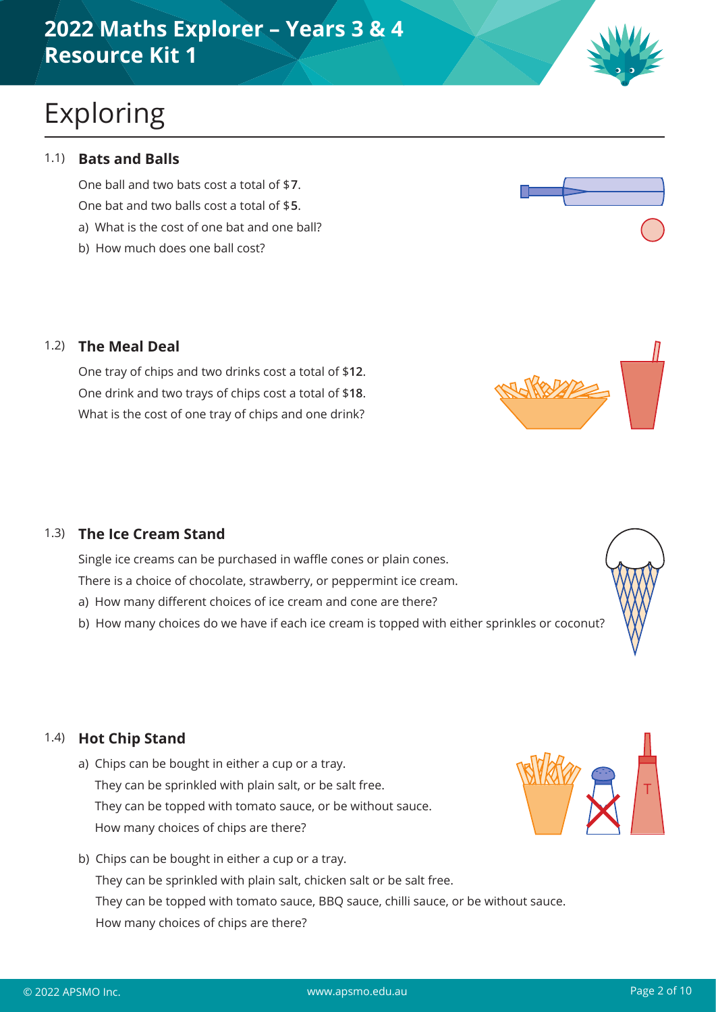# **2022 Maths Explorer – Years 3 & 4 Resource Kit 1**

# Exploring

#### 1.1) **Bats and Balls**

One ball and two bats cost a total of \$7. One bat and two balls cost a total of \$5. a) What is the cost of one bat and one ball?

b) How much does one ball cost?

#### 1.2) **The Meal Deal**

One tray of chips and two drinks cost a total of \$**12**. One drink and two trays of chips cost a total of \$**18**. What is the cost of one tray of chips and one drink?

#### 1.3) **The Ice Cream Stand**

Single ice creams can be purchased in waffle cones or plain cones.

There is a choice of chocolate, strawberry, or peppermint ice cream.

- a) How many different choices of ice cream and cone are there?
- b) How many choices do we have if each ice cream is topped with either sprinkles or coconut?

#### 1.4) **Hot Chip Stand**

- a) Chips can be bought in either a cup or a tray. They can be sprinkled with plain salt, or be salt free. They can be topped with tomato sauce, or be without sauce. How many choices of chips are there?
- b) Chips can be bought in either a cup or a tray. They can be sprinkled with plain salt, chicken salt or be salt free. They can be topped with tomato sauce, BBQ sauce, chilli sauce, or be without sauce. How many choices of chips are there?













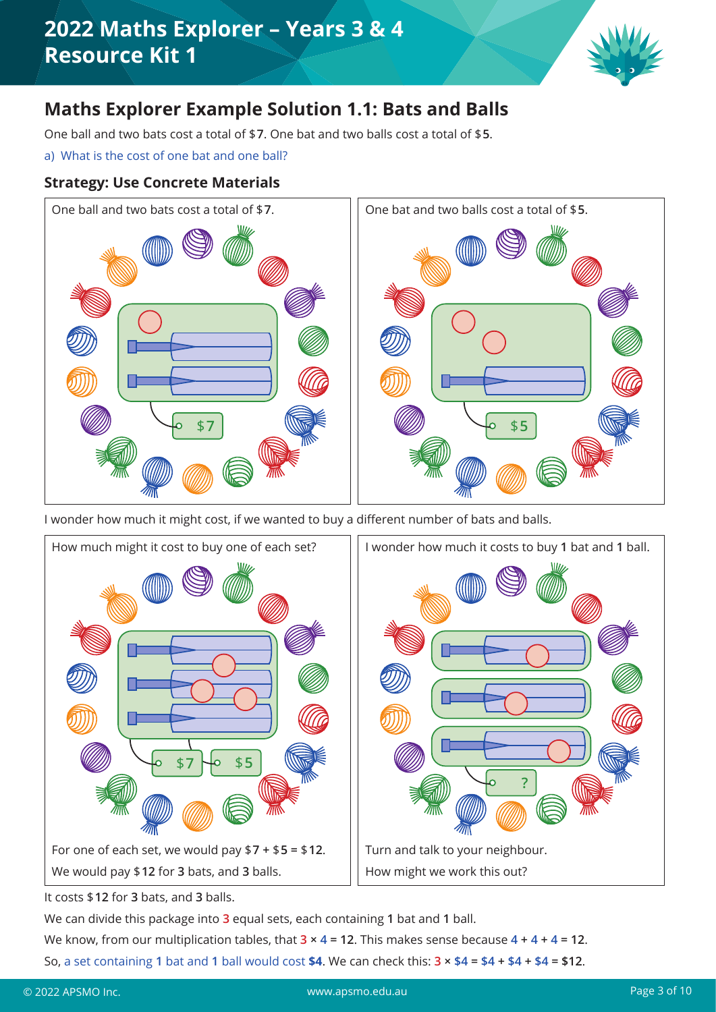

## **Maths Explorer Example Solution 1.1: Bats and Balls**

One ball and two bats cost a total of \$7. One bat and two balls cost a total of \$5.

a) What is the cost of one bat and one ball?

#### **Strategy: Use Concrete Materials**



I wonder how much it might cost, if we wanted to buy a different number of bats and balls.



It costs \$**Ɍ**for **3** bats, and **3** balls.

We can divide this package into **3** equal sets, each containing **1** bat and **1** ball.

We know, from our multiplication tables, that  $3 \times 4 = 12$ . This makes sense because  $4 + 4 + 4 = 12$ .

So, a set containing 1 bat and 1 ball would cost \$4. We can check this:  $3 \times 4 = 4 + 4 + 4 = 12$ .